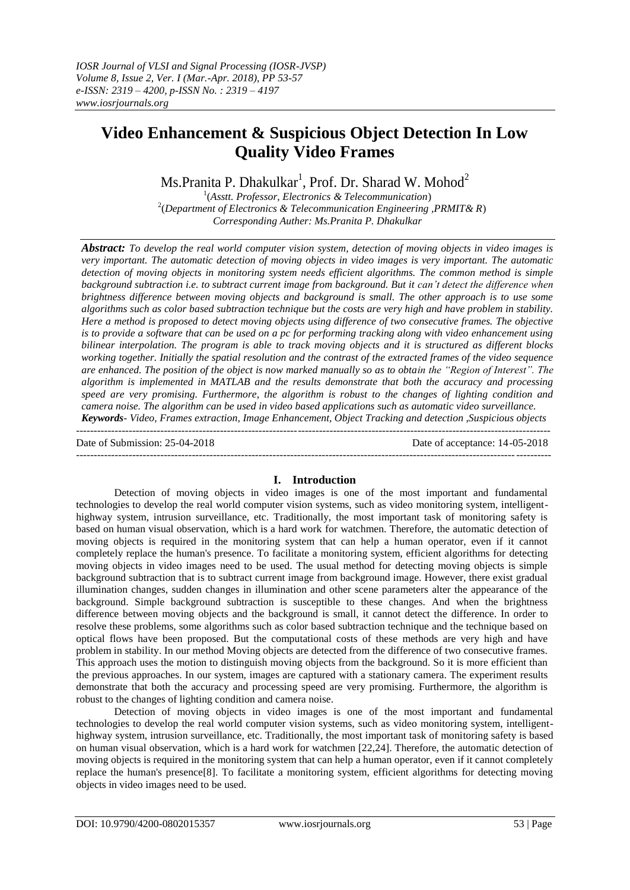# **Video Enhancement & Suspicious Object Detection In Low Quality Video Frames**

 $Ms.Prani$ ta P. Dhakulkar $^1$ , Prof. Dr. Sharad W. Mohod $^2$ 

1 (*Asstt. Professor, Electronics & Telecommunication*) 2 (*Department of Electronics & Telecommunication Engineering ,PRMIT& R*) *Corresponding Auther: Ms.Pranita P. Dhakulkar*

*Abstract: To develop the real world computer vision system, detection of moving objects in video images is very important. The automatic detection of moving objects in video images is very important. The automatic detection of moving objects in monitoring system needs efficient algorithms. The common method is simple*  background subtraction *i.e.* to subtract current image from background. But it can't detect the difference when *brightness difference between moving objects and background is small. The other approach is to use some algorithms such as color based subtraction technique but the costs are very high and have problem in stability. Here a method is proposed to detect moving objects using difference of two consecutive frames. The objective is to provide a software that can be used on a pc for performing tracking along with video enhancement using bilinear interpolation. The program is able to track moving objects and it is structured as different blocks working together. Initially the spatial resolution and the contrast of the extracted frames of the video sequence are enhanced. The position of the object is now marked manually so as to obtain the "Region of Interest". The algorithm is implemented in MATLAB and the results demonstrate that both the accuracy and processing speed are very promising. Furthermore, the algorithm is robust to the changes of lighting condition and camera noise. The algorithm can be used in video based applications such as automatic video surveillance. Keywords- Video, Frames extraction, Image Enhancement, Object Tracking and detection ,Suspicious objects*

---------------------------------------------------------------------------------------------------------------------------------------

Date of Submission: 25-04-2018 Date of acceptance: 14-05-2018 ---------------------------------------------------------------------------------------------------------------------------------------

## **I. Introduction**

Detection of moving objects in video images is one of the most important and fundamental technologies to develop the real world computer vision systems, such as video monitoring system, intelligenthighway system, intrusion surveillance, etc. Traditionally, the most important task of monitoring safety is based on human visual observation, which is a hard work for watchmen. Therefore, the automatic detection of moving objects is required in the monitoring system that can help a human operator, even if it cannot completely replace the human's presence. To facilitate a monitoring system, efficient algorithms for detecting moving objects in video images need to be used. The usual method for detecting moving objects is simple background subtraction that is to subtract current image from background image. However, there exist gradual illumination changes, sudden changes in illumination and other scene parameters alter the appearance of the background. Simple background subtraction is susceptible to these changes. And when the brightness difference between moving objects and the background is small, it cannot detect the difference. In order to resolve these problems, some algorithms such as color based subtraction technique and the technique based on optical flows have been proposed. But the computational costs of these methods are very high and have problem in stability. In our method Moving objects are detected from the difference of two consecutive frames. This approach uses the motion to distinguish moving objects from the background. So it is more efficient than the previous approaches. In our system, images are captured with a stationary camera. The experiment results demonstrate that both the accuracy and processing speed are very promising. Furthermore, the algorithm is robust to the changes of lighting condition and camera noise.

Detection of moving objects in video images is one of the most important and fundamental technologies to develop the real world computer vision systems, such as video monitoring system, intelligenthighway system, intrusion surveillance, etc. Traditionally, the most important task of monitoring safety is based on human visual observation, which is a hard work for watchmen [22,24]. Therefore, the automatic detection of moving objects is required in the monitoring system that can help a human operator, even if it cannot completely replace the human's presence[8]. To facilitate a monitoring system, efficient algorithms for detecting moving objects in video images need to be used.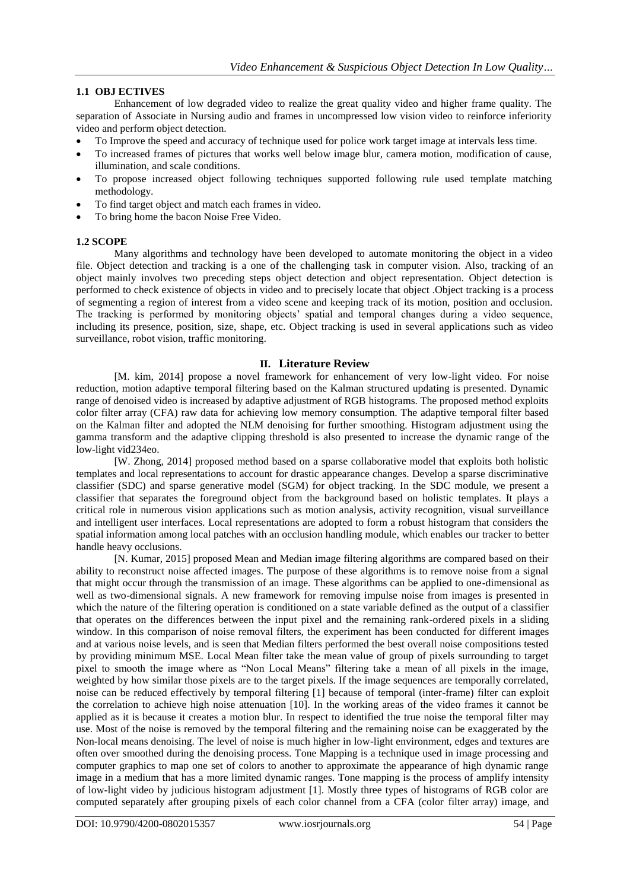## **1.1 OBJ ECTIVES**

Enhancement of low degraded video to realize the great quality video and higher frame quality. The separation of Associate in Nursing audio and frames in uncompressed low vision video to reinforce inferiority video and perform object detection.

- To Improve the speed and accuracy of technique used for police work target image at intervals less time.
- To increased frames of pictures that works well below image blur, camera motion, modification of cause, illumination, and scale conditions.
- To propose increased object following techniques supported following rule used template matching methodology.
- To find target object and match each frames in video.
- To bring home the bacon Noise Free Video.

#### **1.2 SCOPE**

Many algorithms and technology have been developed to automate monitoring the object in a video file. Object detection and tracking is a one of the challenging task in computer vision. Also, tracking of an object mainly involves two preceding steps object detection and object representation. Object detection is performed to check existence of objects in video and to precisely locate that object .Object tracking is a process of segmenting a region of interest from a video scene and keeping track of its motion, position and occlusion. The tracking is performed by monitoring objects' spatial and temporal changes during a video sequence, including its presence, position, size, shape, etc. Object tracking is used in several applications such as video surveillance, robot vision, traffic monitoring.

#### **II. Literature Review**

[M. kim, 2014] propose a novel framework for enhancement of very low-light video. For noise reduction, motion adaptive temporal filtering based on the Kalman structured updating is presented. Dynamic range of denoised video is increased by adaptive adjustment of RGB histograms. The proposed method exploits color filter array (CFA) raw data for achieving low memory consumption. The adaptive temporal filter based on the Kalman filter and adopted the NLM denoising for further smoothing. Histogram adjustment using the gamma transform and the adaptive clipping threshold is also presented to increase the dynamic range of the low-light vid234eo.

[W. Zhong, 2014] proposed method based on a sparse collaborative model that exploits both holistic templates and local representations to account for drastic appearance changes. Develop a sparse discriminative classifier (SDC) and sparse generative model (SGM) for object tracking. In the SDC module, we present a classifier that separates the foreground object from the background based on holistic templates. It plays a critical role in numerous vision applications such as motion analysis, activity recognition, visual surveillance and intelligent user interfaces. Local representations are adopted to form a robust histogram that considers the spatial information among local patches with an occlusion handling module, which enables our tracker to better handle heavy occlusions.

[N. Kumar, 2015] proposed Mean and Median image filtering algorithms are compared based on their ability to reconstruct noise affected images. The purpose of these algorithms is to remove noise from a signal that might occur through the transmission of an image. These algorithms can be applied to one-dimensional as well as two-dimensional signals. A new framework for removing impulse noise from images is presented in which the nature of the filtering operation is conditioned on a state variable defined as the output of a classifier that operates on the differences between the input pixel and the remaining rank-ordered pixels in a sliding window. In this comparison of noise removal filters, the experiment has been conducted for different images and at various noise levels, and is seen that Median filters performed the best overall noise compositions tested by providing minimum MSE. Local Mean filter take the mean value of group of pixels surrounding to target pixel to smooth the image where as "Non Local Means" filtering take a mean of all pixels in the image, weighted by how similar those pixels are to the target pixels. If the image sequences are temporally correlated, noise can be reduced effectively by temporal filtering [1] because of temporal (inter-frame) filter can exploit the correlation to achieve high noise attenuation [10]. In the working areas of the video frames it cannot be applied as it is because it creates a motion blur. In respect to identified the true noise the temporal filter may use. Most of the noise is removed by the temporal filtering and the remaining noise can be exaggerated by the Non-local means denoising. The level of noise is much higher in low-light environment, edges and textures are often over smoothed during the denoising process. Tone Mapping is a technique used in image processing and computer graphics to map one set of colors to another to approximate the appearance of high dynamic range image in a medium that has a more limited dynamic ranges. Tone mapping is the process of amplify intensity of low-light video by judicious histogram adjustment [1]. Mostly three types of histograms of RGB color are computed separately after grouping pixels of each color channel from a CFA (color filter array) image, and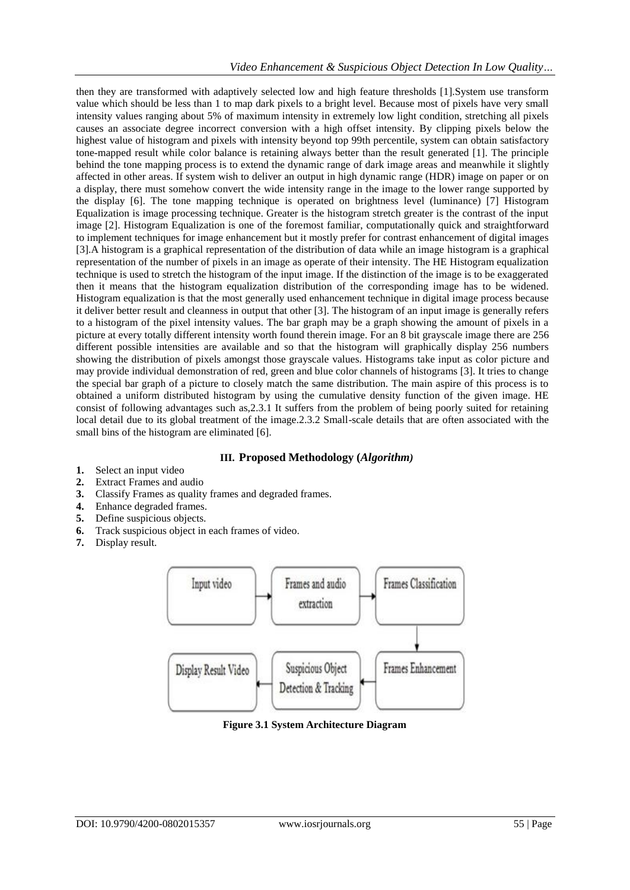then they are transformed with adaptively selected low and high feature thresholds [1].System use transform value which should be less than 1 to map dark pixels to a bright level. Because most of pixels have very small intensity values ranging about 5% of maximum intensity in extremely low light condition, stretching all pixels causes an associate degree incorrect conversion with a high offset intensity. By clipping pixels below the highest value of histogram and pixels with intensity beyond top 99th percentile, system can obtain satisfactory tone-mapped result while color balance is retaining always better than the result generated [1]. The principle behind the tone mapping process is to extend the dynamic range of dark image areas and meanwhile it slightly affected in other areas. If system wish to deliver an output in high dynamic range (HDR) image on paper or on a display, there must somehow convert the wide intensity range in the image to the lower range supported by the display [6]. The tone mapping technique is operated on brightness level (luminance) [7] Histogram Equalization is image processing technique. Greater is the histogram stretch greater is the contrast of the input image [2]. Histogram Equalization is one of the foremost familiar, computationally quick and straightforward to implement techniques for image enhancement but it mostly prefer for contrast enhancement of digital images [3].A histogram is a graphical representation of the distribution of data while an image histogram is a graphical representation of the number of pixels in an image as operate of their intensity. The HE Histogram equalization technique is used to stretch the histogram of the input image. If the distinction of the image is to be exaggerated then it means that the histogram equalization distribution of the corresponding image has to be widened. Histogram equalization is that the most generally used enhancement technique in digital image process because it deliver better result and cleanness in output that other [3]. The histogram of an input image is generally refers to a histogram of the pixel intensity values. The bar graph may be a graph showing the amount of pixels in a picture at every totally different intensity worth found therein image. For an 8 bit grayscale image there are 256 different possible intensities are available and so that the histogram will graphically display 256 numbers showing the distribution of pixels amongst those grayscale values. Histograms take input as color picture and may provide individual demonstration of red, green and blue color channels of histograms [3]. It tries to change the special bar graph of a picture to closely match the same distribution. The main aspire of this process is to obtained a uniform distributed histogram by using the cumulative density function of the given image. HE consist of following advantages such as,2.3.1 It suffers from the problem of being poorly suited for retaining local detail due to its global treatment of the image.2.3.2 Small-scale details that are often associated with the small bins of the histogram are eliminated [6].

## **III. Proposed Methodology (***Algorithm)*

- **1.** Select an input video
- **2.** Extract Frames and audio
- **3.** Classify Frames as quality frames and degraded frames.
- **4.** Enhance degraded frames.
- **5.** Define suspicious objects.
- **6.** Track suspicious object in each frames of video.
- **7.** Display result.



**Figure 3.1 System Architecture Diagram**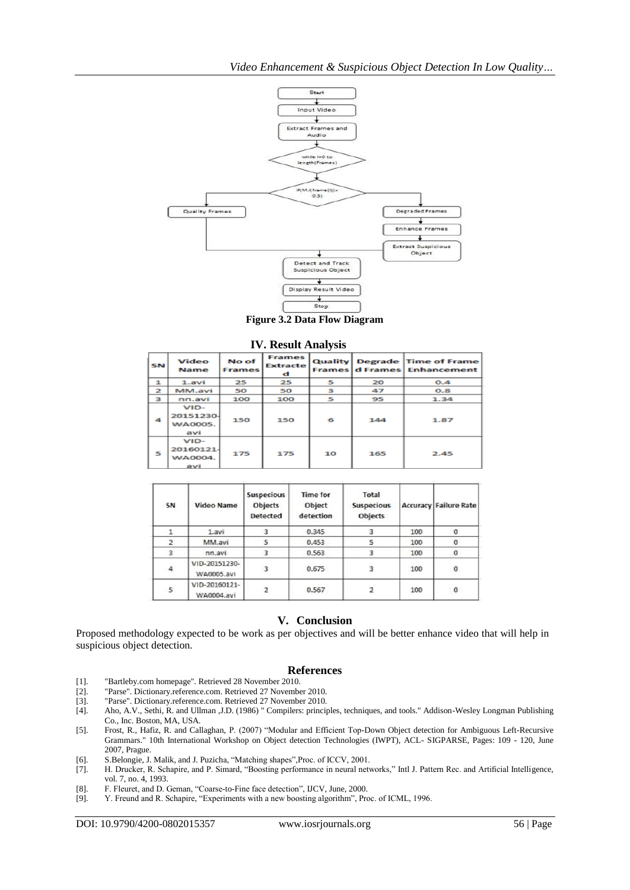

**Figure 3.2 Data Flow Diagram**

|  | <b>IV. Result Analysis</b> |  |  |
|--|----------------------------|--|--|
|--|----------------------------|--|--|

| <b>SN</b>      | Video<br><b>Name</b>                         | No of<br><b>Frames</b> | <b>Frames</b><br><b>Extracte</b><br>d | <b>Quality</b> |     | Degrade Time of Frame<br><b>Frames d Frames Enhancement</b> |
|----------------|----------------------------------------------|------------------------|---------------------------------------|----------------|-----|-------------------------------------------------------------|
| 1              | $1.$ avi                                     | 25                     | 25                                    | 5              | 20  | 0.4                                                         |
| $\overline{z}$ | MM.avi                                       | 50                     | 50                                    | з              | 47  | 0.8                                                         |
| 3              | nn.avi                                       | 100                    | 100                                   | 5              | 95  | 1.34                                                        |
| $\mathbf{A}$   | $VID-$<br>20151230-<br><b>WA0005.</b><br>avi | 150                    | 150                                   | 6              | 144 | 1.87                                                        |
| 5              | $VID-$<br>20160121-<br><b>WA0004.</b><br>avi | 175                    | 175                                   | 10             | 165 | 2.45                                                        |

| SN | <b>Video Name</b>           | Suspecious<br>Objects<br><b>Detected</b> | <b>Time for</b><br>Object<br>detection | Total<br><b>Suspecious</b><br>Objects |     | <b>Accuracy Failure Rate</b> |
|----|-----------------------------|------------------------------------------|----------------------------------------|---------------------------------------|-----|------------------------------|
|    | 1.avi                       |                                          | 0.345                                  |                                       | 100 | 0                            |
|    | MM.avi                      | 5                                        | 0.453                                  |                                       | 100 | $\circ$                      |
| 3  | nn.avi                      | 3                                        | 0.563                                  |                                       | 100 | $\theta$                     |
| 4  | VID-20151230-<br>WA0005.avi | 3                                        | 0.675                                  |                                       | 100 | $\Omega$                     |
| 5  | VID-20160121-<br>WA0004.avi |                                          | 0.567                                  |                                       | 100 | $\circ$                      |

### **V. Conclusion**

Proposed methodology expected to be work as per objectives and will be better enhance video that will help in suspicious object detection.

#### **References**

- [1]. "Bartleby.com homepage". Retrieved 28 November 2010.
- "Parse". Dictionary.reference.com. Retrieved 27 November 2010.
- [3]. "Parse". Dictionary.reference.com. Retrieved 27 November 2010.
- [4]. Aho, A.V., Sethi, R. and Ullman ,J.D. (1986) " Compilers: principles, techniques, and tools." Addison-Wesley Longman Publishing Co., Inc. Boston, MA, USA.
- [5]. Frost, R., Hafiz, R. and Callaghan, P. (2007) "Modular and Efficient Top-Down Object detection for Ambiguous Left-Recursive Grammars." 10th International Workshop on Object detection Technologies (IWPT), ACL- SIGPARSE, Pages: 109 - 120, June 2007, Prague.
- 
- [6]. S.Belongie, J. Malik, and J. Puzicha, "Matching shapes",Proc. of ICCV, 2001. [7]. H. Drucker, R. Schapire, and P. Simard, "Boosting performance in neural networks," Intl J. Pattern Rec. and Artificial Intelligence, vol. 7, no. 4, 1993.
- [8]. F. Fleuret, and D. Geman, "Coarse-to-Fine face detection", IJCV, June, 2000.<br>[9]. Y. Freund and R. Schapire, "Experiments with a new boosting algorithm", Pro
- Y. Freund and R. Schapire, "Experiments with a new boosting algorithm", Proc. of ICML, 1996.